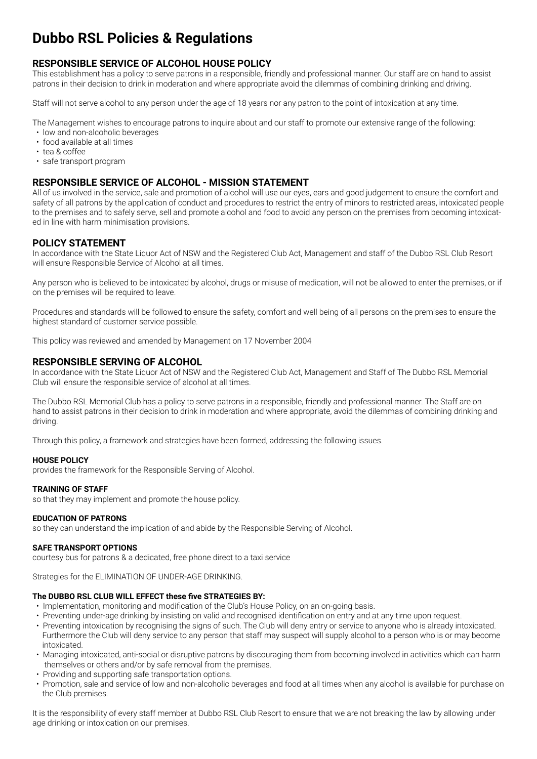# **Dubbo RSL Policies & Regulations**

# **RESPONSIBLE SERVICE OF ALCOHOL HOUSE POLICY**

This establishment has a policy to serve patrons in a responsible, friendly and professional manner. Our staff are on hand to assist patrons in their decision to drink in moderation and where appropriate avoid the dilemmas of combining drinking and driving.

Staff will not serve alcohol to any person under the age of 18 years nor any patron to the point of intoxication at any time.

The Management wishes to encourage patrons to inquire about and our staff to promote our extensive range of the following:

- low and non-alcoholic beverages
- food available at all times
- tea & coffee
- safe transport program

## **RESPONSIBLE SERVICE OF ALCOHOL - MISSION STATEMENT**

All of us involved in the service, sale and promotion of alcohol will use our eyes, ears and good judgement to ensure the comfort and safety of all patrons by the application of conduct and procedures to restrict the entry of minors to restricted areas, intoxicated people to the premises and to safely serve, sell and promote alcohol and food to avoid any person on the premises from becoming intoxicated in line with harm minimisation provisions.

## **POLICY STATEMENT**

In accordance with the State Liquor Act of NSW and the Registered Club Act, Management and staff of the Dubbo RSL Club Resort will ensure Responsible Service of Alcohol at all times.

Any person who is believed to be intoxicated by alcohol, drugs or misuse of medication, will not be allowed to enter the premises, or if on the premises will be required to leave.

Procedures and standards will be followed to ensure the safety, comfort and well being of all persons on the premises to ensure the highest standard of customer service possible.

This policy was reviewed and amended by Management on 17 November 2004

## **RESPONSIBLE SERVING OF ALCOHOL**

In accordance with the State Liquor Act of NSW and the Registered Club Act, Management and Staff of The Dubbo RSL Memorial Club will ensure the responsible service of alcohol at all times.

The Dubbo RSL Memorial Club has a policy to serve patrons in a responsible, friendly and professional manner. The Staff are on hand to assist patrons in their decision to drink in moderation and where appropriate, avoid the dilemmas of combining drinking and driving.

Through this policy, a framework and strategies have been formed, addressing the following issues.

#### **HOUSE POLICY**

provides the framework for the Responsible Serving of Alcohol.

#### **TRAINING OF STAFF**

so that they may implement and promote the house policy.

#### **EDUCATION OF PATRONS**

so they can understand the implication of and abide by the Responsible Serving of Alcohol.

#### **SAFE TRANSPORT OPTIONS**

courtesy bus for patrons & a dedicated, free phone direct to a taxi service

Strategies for the ELIMINATION OF UNDER-AGE DRINKING.

#### **The DUBBO RSL CLUB WILL EFFECT these five STRATEGIES BY:**

- Implementation, monitoring and modification of the Club's House Policy, on an on-going basis.
- Preventing under-age drinking by insisting on valid and recognised identification on entry and at any time upon request.
- Preventing intoxication by recognising the signs of such. The Club will deny entry or service to anyone who is already intoxicated. Furthermore the Club will deny service to any person that staff may suspect will supply alcohol to a person who is or may become intoxicated.
- Managing intoxicated, anti-social or disruptive patrons by discouraging them from becoming involved in activities which can harm themselves or others and/or by safe removal from the premises.
- Providing and supporting safe transportation options.
- Promotion, sale and service of low and non-alcoholic beverages and food at all times when any alcohol is available for purchase on the Club premises.

It is the responsibility of every staff member at Dubbo RSL Club Resort to ensure that we are not breaking the law by allowing under age drinking or intoxication on our premises.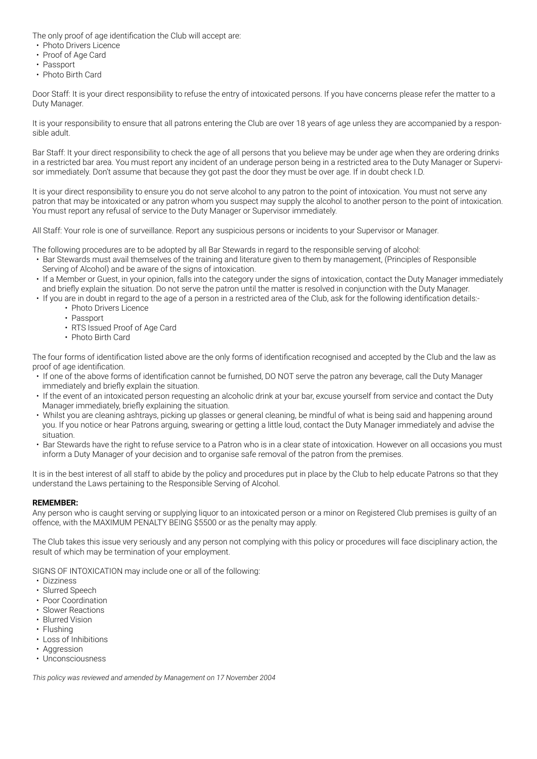The only proof of age identification the Club will accept are:

- Photo Drivers Licence
- Proof of Age Card
- Passport
- Photo Birth Card

Door Staff: It is your direct responsibility to refuse the entry of intoxicated persons. If you have concerns please refer the matter to a Duty Manager.

It is your responsibility to ensure that all patrons entering the Club are over 18 years of age unless they are accompanied by a responsible adult.

Bar Staff: It your direct responsibility to check the age of all persons that you believe may be under age when they are ordering drinks in a restricted bar area. You must report any incident of an underage person being in a restricted area to the Duty Manager or Supervisor immediately. Don't assume that because they got past the door they must be over age. If in doubt check I.D.

It is your direct responsibility to ensure you do not serve alcohol to any patron to the point of intoxication. You must not serve any patron that may be intoxicated or any patron whom you suspect may supply the alcohol to another person to the point of intoxication. You must report any refusal of service to the Duty Manager or Supervisor immediately.

All Staff: Your role is one of surveillance. Report any suspicious persons or incidents to your Supervisor or Manager.

The following procedures are to be adopted by all Bar Stewards in regard to the responsible serving of alcohol:

- Bar Stewards must avail themselves of the training and literature given to them by management, (Principles of Responsible Serving of Alcohol) and be aware of the signs of intoxication.
- If a Member or Guest, in your opinion, falls into the category under the signs of intoxication, contact the Duty Manager immediately and briefly explain the situation. Do not serve the patron until the matter is resolved in conjunction with the Duty Manager.
- If you are in doubt in regard to the age of a person in a restricted area of the Club, ask for the following identification details:-• Photo Drivers Licence
	- Passport
	- RTS Issued Proof of Age Card
	- Photo Birth Card

The four forms of identification listed above are the only forms of identification recognised and accepted by the Club and the law as proof of age identification.

- If one of the above forms of identification cannot be furnished, DO NOT serve the patron any beverage, call the Duty Manager immediately and briefly explain the situation.
- If the event of an intoxicated person requesting an alcoholic drink at your bar, excuse yourself from service and contact the Duty Manager immediately, briefly explaining the situation.
- Whilst you are cleaning ashtrays, picking up glasses or general cleaning, be mindful of what is being said and happening around you. If you notice or hear Patrons arguing, swearing or getting a little loud, contact the Duty Manager immediately and advise the situation.
- Bar Stewards have the right to refuse service to a Patron who is in a clear state of intoxication. However on all occasions you must inform a Duty Manager of your decision and to organise safe removal of the patron from the premises.

It is in the best interest of all staff to abide by the policy and procedures put in place by the Club to help educate Patrons so that they understand the Laws pertaining to the Responsible Serving of Alcohol.

#### **REMEMBER:**

Any person who is caught serving or supplying liquor to an intoxicated person or a minor on Registered Club premises is guilty of an offence, with the MAXIMUM PENALTY BEING \$5500 or as the penalty may apply.

The Club takes this issue very seriously and any person not complying with this policy or procedures will face disciplinary action, the result of which may be termination of your employment.

SIGNS OF INTOXICATION may include one or all of the following:

- Dizziness
- Slurred Speech
- Poor Coordination
- Slower Reactions
- Blurred Vision
- Flushing
- Loss of Inhibitions
- Aggression
- Unconsciousness

*This policy was reviewed and amended by Management on 17 November 2004*